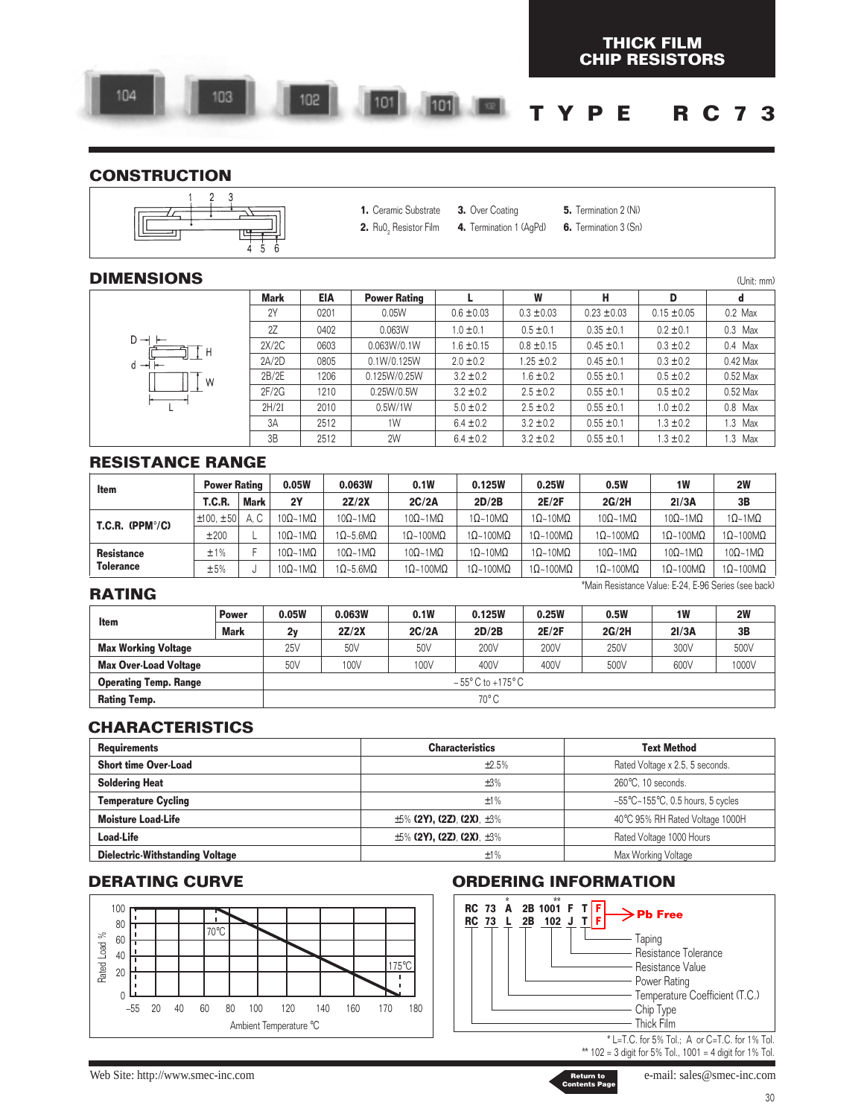#### **CONSTRUCTION**



- **1.** Ceramic Substrate **3.** Over Coating
	- **4.** Termination 1 (AgPd) **5.** Termination 2 (Ni)
		- **6.** Termination 3 (Sn)

**THICK FILM**

(Unit: mm)

#### **DIMENSIONS**

|                        | <b>Mark</b> | <b>EIA</b> | <b>Power Rating</b> |                | W              | н               | D               | d         |
|------------------------|-------------|------------|---------------------|----------------|----------------|-----------------|-----------------|-----------|
|                        | 2Y          | 0201       | 0.05W               | $0.6 \pm 0.03$ | $0.3 \pm 0.03$ | $0.23 \pm 0.03$ | $0.15 \pm 0.05$ | $0.2$ Max |
|                        | 2Z          | 0402       | 0.063W              | $1.0 \pm 0.1$  | $0.5 \pm 0.1$  | $0.35 \pm 0.1$  | $0.2 \pm 0.1$   | $0.3$ Max |
| $D \rightarrow$<br>tн  | 2X/2C       | 0603       | 0.063W/0.1W         | $1.6 \pm 0.15$ | $0.8 \pm 0.15$ | $0.45 \pm 0.1$  | $0.3 \pm 0.2$   | $0.4$ Max |
| $d \rightarrow \vdash$ | 2A/2D       | 0805       | 0.1W/0.125W         | $2.0 \pm 0.2$  | $1.25 \pm 0.2$ | $0.45 \pm 0.1$  | $0.3 \pm 0.2$   | 0.42 Max  |
| W                      | 2B/2E       | 1206       | 0.125W/0.25W        | $3.2 \pm 0.2$  | $1.6 \pm 0.2$  | $0.55 \pm 0.1$  | $0.5 \pm 0.2$   | 0.52 Max  |
|                        | 2F/2G       | 1210       | 0.25W/0.5W          | $3.2 \pm 0.2$  | $2.5 \pm 0.2$  | $0.55 \pm 0.1$  | $0.5 \pm 0.2$   | 0.52 Max  |
|                        | 2H/2I       | 2010       | 0.5W/1W             | $5.0 \pm 0.2$  | $2.5 \pm 0.2$  | $0.55 \pm 0.1$  | $1.0 \pm 0.2$   | 0.8 Max   |
|                        | 3A          | 2512       | 1W                  | $6.4 \pm 0.2$  | $3.2 \pm 0.2$  | $0.55 \pm 0.1$  | $1.3 \pm 0.2$   | 1.3 Max   |
|                        | 3B          | 2512       | 2W                  | $6.4 \pm 0.2$  | $3.2 \pm 0.2$  | $0.55 \pm 0.1$  | $1.3 \pm 0.2$   | 1.3 Max   |

#### **RESISTANCE RANGE**

| Item                        | <b>Power Rating</b> |             | 0.05W                            | 0.063W                           | 0.1W                             | 0.125W                   | 0.25W                    | 0.5W                             | 1W                           | 2W                               |
|-----------------------------|---------------------|-------------|----------------------------------|----------------------------------|----------------------------------|--------------------------|--------------------------|----------------------------------|------------------------------|----------------------------------|
|                             | T.C.R.              | <b>Mark</b> | 2Y                               | 2Z/2X                            | 2C/2A                            | 2D/2B                    | 2E/2F                    | 2G/2H                            | 2I/3A                        | 3B                               |
| $T.C.R.$ (PPM $\degree$ /C) | $\pm 100. \pm 50$   | A.C         | $10\Omega$ ~1M $\Omega$          | $10\Omega \sim 1 \text{M}\Omega$ | $10\Omega - 1\text{M}\Omega$     | $1\Omega$ ~10M $\Omega$  | $1\Omega$ ~10M $\Omega$  | $10\Omega \sim 1 \text{M}\Omega$ | $10\Omega - 1\text{M}\Omega$ | $1\Omega$ ~1M $\Omega$           |
|                             | ±200                |             | $10\Omega \sim 1 \text{M}\Omega$ | $1\Omega - 5.6 M\Omega$          | $1\Omega$ ~100M $\Omega$         | $1\Omega$ ~100M $\Omega$ | $1\Omega$ ~100M $\Omega$ | $1\Omega$ ~100M $\Omega$         | $1\Omega$ ~100M $\Omega$     | $1\Omega$ ~100M $\Omega$         |
| <b>Resistance</b>           | ±1%                 |             | $10\Omega \sim 1 \text{M}\Omega$ | $10\Omega \sim 1 \text{M}\Omega$ | $10\Omega \sim 1 \text{M}\Omega$ | $1\Omega$ ~10M $\Omega$  | $1\Omega$ ~10M $\Omega$  | $10\Omega - 1\text{M}\Omega$     | $10\Omega - 1\text{M}\Omega$ | $10\Omega \sim 1 \text{M}\Omega$ |
| <b>Tolerance</b>            | ±5%                 |             | $10\Omega \sim 1 \text{M}\Omega$ | $1\Omega - 5.6 M\Omega$          | $1\Omega$ ~100M $\Omega$         | $1\Omega$ ~100M $\Omega$ | $1\Omega$ ~100M $\Omega$ | $1\Omega$ ~100M $\Omega$         | $1\Omega$ ~100M $\Omega$     | $1\Omega$ ~100M $\Omega$         |

| <b>RATING</b>                |              |       |        |       |                                      |       | "Main Hesistance Value: E-24. E-96 Series (see back) |           |       |
|------------------------------|--------------|-------|--------|-------|--------------------------------------|-------|------------------------------------------------------|-----------|-------|
| Item                         | <b>Power</b> | 0.05W | 0.063W | 0.1W  | 0.125W                               | 0.25W | 0.5W                                                 | <b>1W</b> | 2W    |
|                              | Mark         | 2y    | 2Z/2X  | 2C/2A | 2D/2B                                | 2E/2F | 2G/2H                                                | 21/3A     | 3B    |
| <b>Max Working Voltage</b>   |              | 25V   | 50V    | 50V   | 200V                                 | 200V  | 250V                                                 | 300V      | 500V  |
| <b>Max Over-Load Voltage</b> |              | 50V   | 100V   | 100V  | 400V                                 | 400V  | 500V                                                 | 600V      | 1000V |
| <b>Operating Temp. Range</b> |              |       |        |       | $-55^{\circ}$ C to +175 $^{\circ}$ C |       |                                                      |           |       |
| <b>Rating Temp.</b>          |              |       |        |       | $70^{\circ}$ C                       |       |                                                      |           |       |

### **CHARACTERISTICS**

| <b>Requirements</b>                    | <b>Characteristics</b>                | <b>Text Method</b>                                           |
|----------------------------------------|---------------------------------------|--------------------------------------------------------------|
| <b>Short time Over-Load</b>            | ±2.5%                                 | Rated Voltage x 2.5, 5 seconds.                              |
| <b>Soldering Heat</b>                  | ±3%                                   | 260°C. 10 seconds.                                           |
| <b>Temperature Cycling</b>             | ±1%                                   | $-55^{\circ}$ C $\sim$ 155 $^{\circ}$ C, 0.5 hours, 5 cycles |
| <b>Moisture Load-Life</b>              | $\pm 5\%$ (2Y), (2Z), (2X), $\pm 3\%$ | 40°C 95% RH Rated Voltage 1000H                              |
| <b>Load-Life</b>                       | $\pm 5\%$ (2Y), (2Z), (2X), $\pm 3\%$ | Rated Voltage 1000 Hours                                     |
| <b>Dielectric-Withstanding Voltage</b> | ±1%                                   | Max Working Voltage                                          |



### **DERATING CURVE ORDERING INFORMATION**



\*\* 102 = 3 digit for 5% Tol., 1001 = 4 digit for 1% Tol.